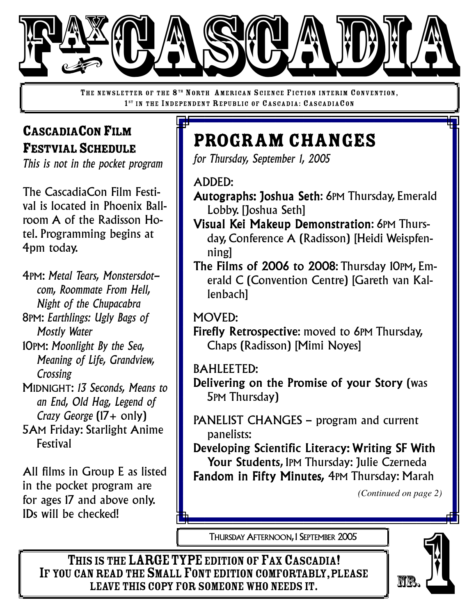

THE NEWSLETTER OF THE 8<sup>TH</sup> NORTH AMERICAN SCIENCE FICTION INTERIM CONVENTION, 1<sup>ST</sup> IN THE INDEPENDENT REPUBLIC OF CASCADIA: CASCADIACON

# CASCADIACONFILM FESTVIAL SCHEDULE

*This is not in the pocket program*

The CascadiaCon Film Festival is located in Phoenix Ballroom A of the Radisson Hotel. Programming begins at 4pm today.

4PM: *Metal Tears, Monstersdotcom, Roommate From Hell, Night of the Chupacabra* 8PM: *Earthlings: Ugly Bags of Mostly Water* 10PM: *Moonlight By the Sea, Meaning of Life, Grandview,*

*Crossing* MIDNIGHT: *13 Seconds, Means to an End, Old Hag, Legend of Crazy George* (17+ only)

5AM Friday: Starlight Anime Festival

All films in Group E as listed in the pocket program are for ages 17 and above only. IDs will be checked!

# Program Changes

*for Thursday, September 1, 2005*

ADDED:

- Autographs: Joshua Seth: 6PM Thursday, Emerald Lobby. [Joshua Seth]
- Visual Kei Makeup Demonstration: 6PM Thursday, Conference A (Radisson) [Heidi Weispfenning]
- The Films of 2006 to 2008: Thursday 10PM, Emerald C (Convention Centre) [Gareth van Kallenbach]

#### MOVED:

Firefly Retrospective: moved to 6PM Thursday, Chaps (Radisson) [Mimi Noyes]

#### BAHLEETED:

Delivering on the Promise of your Story (was 5PM Thursday)

PANELIST CHANGES – program and current panelists:

Developing Scientific Literacy: Writing SF With Your Students, 1PM Thursday: Julie Czerneda Fandom in Fifty Minutes*,* 4PM Thursday: Marah

*(Continued on page 2)*

THURSDAY AFTERNOON, 1 SEPTEMBER 2005

THIS IS THE LARGE TYPE EDITION OF FAX CASCADIA! IF YOU CAN READ THE SMALL FONT EDITION COMFORTABLY, PLEASE<br>LEAVE THIS COPY FOR SOMEONE WHO NEEDS IT. THURSDAY AFTERNOON, I SEPTEMBER 2005<br>
SIS THE LARGE TYPE EDITION OF FAX CASCADIA!<br>
NREAD THE SMALL FONT EDITION COMFORTABLY, PLEASE<br>
LEAVE THIS COPY FOR SOMEONE WHO NEEDS IT.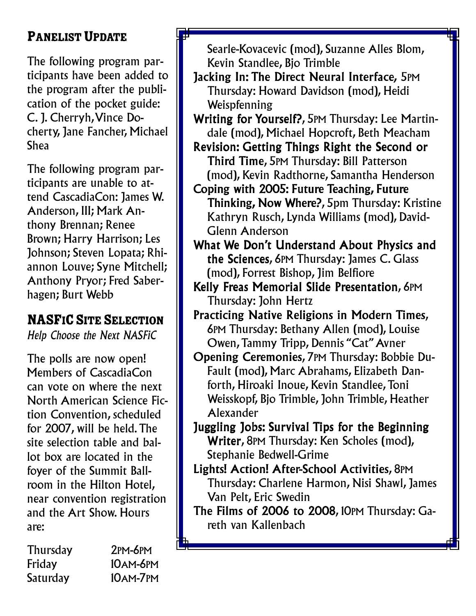# PANELIST UPDATE

The following program participants have been added to the program after the publication of the pocket guide: C. J. Cherryh,Vince Docherty, Jane Fancher, Michael Shea

The following program participants are unable to attend CascadiaCon: James W. Anderson, III; Mark Anthony Brennan; Renee Brown; Harry Harrison; Les Johnson; Steven Lopata; Rhiannon Louve; Syne Mitchell; Anthony Pryor; Fred Saberhagen; Burt Webb

### NASFIC SITE SELECTION

*Help Choose the Next NASFiC*

The polls are now open! Members of CascadiaCon can vote on where the next North American Science Fiction Convention, scheduled for 2007, will be held.The site selection table and ballot box are located in the foyer of the Summit Ballroom in the Hilton Hotel, near convention registration and the Art Show. Hours are:

| <b>Thursday</b> | $2PM-6PM$       |
|-----------------|-----------------|
| Friday          | <b>10AM-6PM</b> |
| Saturday        | 10AM-7PM        |

Searle-Kovacevic (mod), Suzanne Alles Blom, Kevin Standlee, Bjo Trimble

- Jacking In: The Direct Neural Interface*,* 5PM Thursday: Howard Davidson (mod), Heidi Weispfenning
- Writing for Yourself?, 5PM Thursday: Lee Martindale (mod), Michael Hopcroft, Beth Meacham
- Revision: Getting Things Right the Second or Third Time, 5PM Thursday: Bill Patterson (mod), Kevin Radthorne, Samantha Henderson
- Coping with 2005: Future Teaching, Future Thinking, Now Where?, 5pm Thursday: Kristine Kathryn Rusch, Lynda Williams (mod), David-Glenn Anderson
- What We Don't Understand About Physics and the Sciences, 6PM Thursday: James C. Glass (mod), Forrest Bishop, Jim Belfiore
- Kelly Freas Memorial Slide Presentation, 6PM Thursday: John Hertz
- Practicing Native Religions in Modern Times, 6PM Thursday: Bethany Allen (mod), Louise Owen,Tammy Tripp, Dennis "Cat"Avner
- Opening Ceremonies, 7PM Thursday: Bobbie Du-Fault (mod), Marc Abrahams, Elizabeth Danforth, Hiroaki Inoue, Kevin Standlee,Toni Weisskopf, Bjo Trimble, John Trimble, Heather Alexander
- Juggling Jobs: Survival Tips for the Beginning Writer, 8PM Thursday: Ken Scholes (mod), Stephanie Bedwell-Grime
- Lights! Action! After-School Activities, 8PM Thursday: Charlene Harmon, Nisi Shawl, James Van Pelt, Eric Swedin
- The Films of 2006 to 2008, 10PM Thursday: Gareth van Kallenbach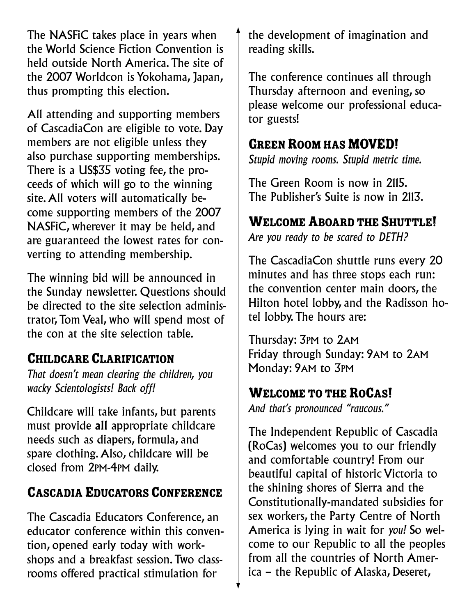The NASFiC takes place in years when the World Science Fiction Convention is held outside North America.The site of the 2007 Worldcon is Yokohama, Japan, thus prompting this election.

All attending and supporting members of CascadiaCon are eligible to vote. Day members are not eligible unless they also purchase supporting memberships. There is a US\$35 voting fee, the proceeds of which will go to the winning site.All voters will automatically become supporting members of the 2007 NASFiC, wherever it may be held, and are guaranteed the lowest rates for converting to attending membership.

The winning bid will be announced in the Sunday newsletter. Questions should be directed to the site selection administrator,Tom Veal, who will spend most of the con at the site selection table.

#### CHILDCARE CLARIFICATION

*That doesn't mean clearing the children, you wacky Scientologists! Back off!*

Childcare will take infants, but parents must provide all appropriate childcare needs such as diapers, formula, and spare clothing.Also, childcare will be closed from 2PM-4PM daily.

### CASCADIA EDUCATORS CONFERENCE

The Cascadia Educators Conference, an educator conference within this convention, opened early today with workshops and a breakfast session.Two classrooms offered practical stimulation for

the development of imagination and reading skills.

The conference continues all through Thursday afternoon and evening, so please welcome our professional educator guests!

### **GREEN ROOM HAS MOVED!**

*Stupid moving rooms. Stupid metric time.*

The Green Room is now in 2115. The Publisher's Suite is now in 2113.

# WELCOME ABOARD THE SHUTTLE!

*Are you ready to be scared to DETH?*

The CascadiaCon shuttle runs every 20 minutes and has three stops each run: the convention center main doors, the Hilton hotel lobby, and the Radisson hotel lobby.The hours are:

Thursday: 3PM to 2AM Friday through Sunday: 9AM to 2AM Monday: 9AM to 3PM

### WELCOME TO THE ROCAS!

*And that's pronounced "raucous."*

The Independent Republic of Cascadia (RoCas) welcomes you to our friendly and comfortable country! From our beautiful capital of historic Victoria to the shining shores of Sierra and the Constitutionally-mandated subsidies for sex workers, the Party Centre of North America is lying in wait for *you!* So welcome to our Republic to all the peoples from all the countries of North America – the Republic of Alaska, Deseret,